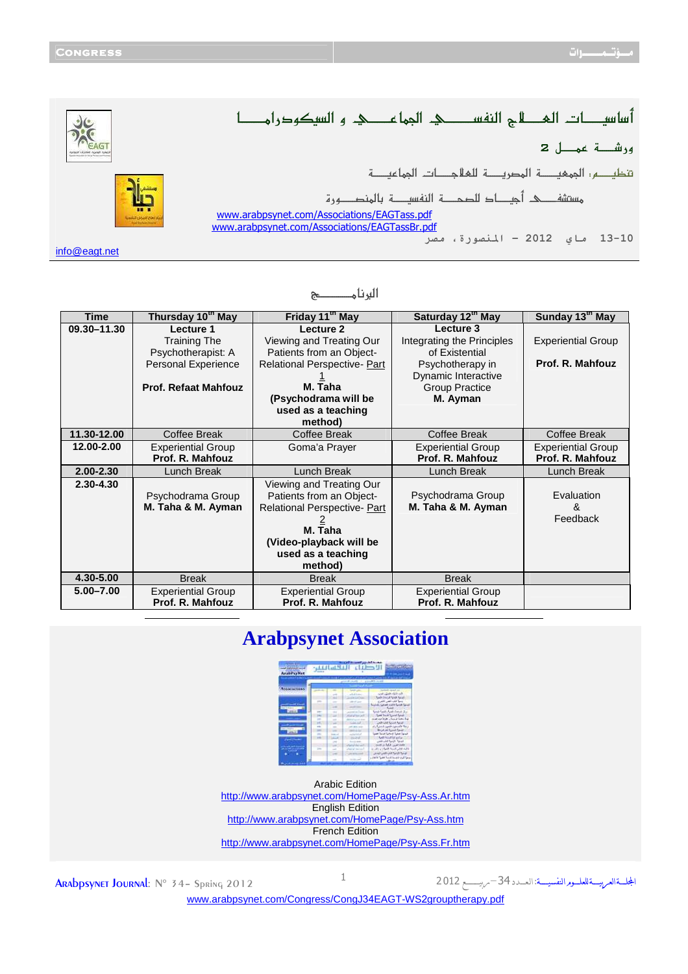المجلسةالعربيسةللعلسوم النفسيسة

|               | تنظيم : المحجيه المصريحة للعلاجدات المحاعيدة                                                 |
|---------------|----------------------------------------------------------------------------------------------|
|               |                                                                                              |
|               | www.arabpsynet.com/Associations/EAGTass.pdf<br>www.arabpsynet.com/Associations/EAGTassBr.pdf |
|               | 13-10 ماي 2012 - المنصورة، مصر                                                               |
| info@eagt.net |                                                                                              |

## **s{{{{{{{{{{{{{{{Ú^ÞÖ]**

| <b>Time</b>   | Thursday 10 <sup>th</sup> May | Friday 11 <sup>th</sup> May         | Saturday 12th May          | Sunday 13 <sup>th</sup> May |
|---------------|-------------------------------|-------------------------------------|----------------------------|-----------------------------|
| 09.30-11.30   | Lecture 1                     | Lecture 2                           | Lecture 3                  |                             |
|               | <b>Training The</b>           | Viewing and Treating Our            | Integrating the Principles | <b>Experiential Group</b>   |
|               | Psychotherapist: A            | Patients from an Object-            | of Existential             |                             |
|               | Personal Experience           | <b>Relational Perspective- Part</b> | Psychotherapy in           | Prof. R. Mahfouz            |
|               |                               |                                     | Dynamic Interactive        |                             |
|               | <b>Prof. Refaat Mahfouz</b>   | M. Taha                             | <b>Group Practice</b>      |                             |
|               |                               | (Psychodrama will be                | M. Ayman                   |                             |
|               |                               | used as a teaching                  |                            |                             |
|               |                               | method)                             |                            |                             |
| 11.30-12.00   | Coffee Break                  | Coffee Break                        | <b>Coffee Break</b>        | Coffee Break                |
| 12.00-2.00    | <b>Experiential Group</b>     | Goma'a Prayer                       | <b>Experiential Group</b>  | <b>Experiential Group</b>   |
|               | Prof. R. Mahfouz              |                                     | Prof. R. Mahfouz           | Prof. R. Mahfouz            |
| $2.00 - 2.30$ | Lunch Break                   | Lunch Break                         | Lunch Break                | Lunch Break                 |
| 2.30-4.30     |                               | Viewing and Treating Our            |                            |                             |
|               | Psychodrama Group             | Patients from an Object-            | Psychodrama Group          | Evaluation                  |
|               | M. Taha & M. Ayman            | Relational Perspective- Part        | M. Taha & M. Ayman         | &                           |
|               |                               |                                     |                            | Feedback                    |
|               |                               | M. Taha                             |                            |                             |
|               |                               | (Video-playback will be             |                            |                             |
|               |                               | used as a teaching                  |                            |                             |
|               |                               | method)                             |                            |                             |
| 4.30-5.00     | <b>Break</b>                  | <b>Break</b>                        | <b>Break</b>               |                             |
| $5.00 - 7.00$ | <b>Experiential Group</b>     | <b>Experiential Group</b>           | <b>Experiential Group</b>  |                             |
|               | Prof. R. Mahfouz              | Prof. R. Mahfouz                    | Prof. R. Mahfouz           |                             |

## **Arabpsynet Association**

| ادرسه اقتضافها لود<br><b>ArabPayNet</b><br>مواقعه فورا اشتركا فبالمجتبين الرا |                               |   |                             |                                               |  |  |  |
|-------------------------------------------------------------------------------|-------------------------------|---|-----------------------------|-----------------------------------------------|--|--|--|
|                                                                               | - Alton Offers ( - Thursdays) |   |                             |                                               |  |  |  |
| Associations                                                                  |                               |   |                             |                                               |  |  |  |
|                                                                               |                               |   | adiat Enter<br>All Call and | UNITED ASSISTANT<br>fund through funds facult |  |  |  |
|                                                                               |                               |   | die of your                 | وسميا الشرد العلمى الكفوري                    |  |  |  |
|                                                                               |                               |   |                             | مهاز وبرعها والتزم العمايين بالمليط           |  |  |  |
|                                                                               | <b>PRY</b>                    |   | Spinate and sales           | Louis Said Link Antaly Sp.                    |  |  |  |
|                                                                               | w                             |   | <b>Good Art and Last</b>    | <b>Said Teach School Spine</b>                |  |  |  |
|                                                                               | ÷                             | - | Address Council of the      | an an international interline                 |  |  |  |
|                                                                               | $\sim$                        |   | <b>COLOR</b>                | Job und Spanisheral                           |  |  |  |
|                                                                               | $-$                           | m | of an air                   | the latest capital cancer that                |  |  |  |
|                                                                               | $\sim$                        |   | <b>MARINE SAL</b>           | المنزا المترة للتركيز الأ                     |  |  |  |
|                                                                               | pine                          |   | and this                    | المنهأ شلية المالية للمسأ القبر               |  |  |  |
|                                                                               | $1 - 1$                       |   | <b>COMMA</b>                | <b>Gift Souther alder</b>                     |  |  |  |
|                                                                               |                               |   | Send in street.             | and the first first                           |  |  |  |
|                                                                               |                               |   |                             | the first KM is they                          |  |  |  |
| <b>THE CARD</b>                                                               |                               |   | <b>National Activity</b>    | Should find understand                        |  |  |  |
|                                                                               |                               |   |                             | and use of will lead                          |  |  |  |
|                                                                               |                               |   |                             | بصوة كرى تنصبنا تلبعا كغيرة لأنفار            |  |  |  |

Arabic Edition

<http://www.arabpsynet.com/HomePage/Psy-Ass.Ar.htm> English Edition <http://www.arabpsynet.com/HomePage/Psy-Ass.htm> **French Edition** <http://www.arabpsynet.com/HomePage/Psy-Ass.Fr.htm>

ARADPSYNET JOURNAL: N° 34- Spring 2012

[www.arabpsynet.com/Congress/CongJ](www.arabpsynet.com/Congress/CongJ34EAGT-WS2grouptherapy.pdf)34EAGT-WS2grouptherapy.pdf